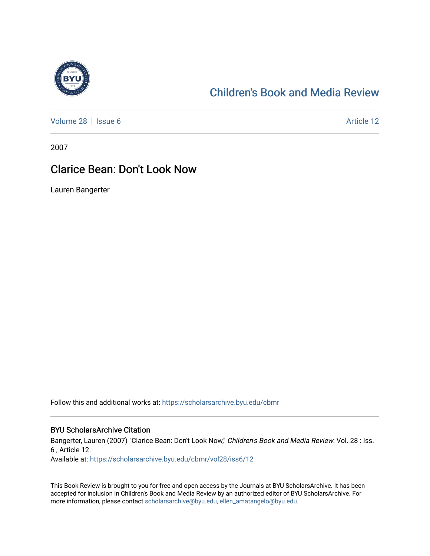

## [Children's Book and Media Review](https://scholarsarchive.byu.edu/cbmr)

[Volume 28](https://scholarsarchive.byu.edu/cbmr/vol28) | [Issue 6](https://scholarsarchive.byu.edu/cbmr/vol28/iss6) Article 12

2007

## Clarice Bean: Don't Look Now

Lauren Bangerter

Follow this and additional works at: [https://scholarsarchive.byu.edu/cbmr](https://scholarsarchive.byu.edu/cbmr?utm_source=scholarsarchive.byu.edu%2Fcbmr%2Fvol28%2Fiss6%2F12&utm_medium=PDF&utm_campaign=PDFCoverPages) 

## BYU ScholarsArchive Citation

Bangerter, Lauren (2007) "Clarice Bean: Don't Look Now," Children's Book and Media Review: Vol. 28 : Iss. 6 , Article 12.

Available at: [https://scholarsarchive.byu.edu/cbmr/vol28/iss6/12](https://scholarsarchive.byu.edu/cbmr/vol28/iss6/12?utm_source=scholarsarchive.byu.edu%2Fcbmr%2Fvol28%2Fiss6%2F12&utm_medium=PDF&utm_campaign=PDFCoverPages)

This Book Review is brought to you for free and open access by the Journals at BYU ScholarsArchive. It has been accepted for inclusion in Children's Book and Media Review by an authorized editor of BYU ScholarsArchive. For more information, please contact [scholarsarchive@byu.edu, ellen\\_amatangelo@byu.edu.](mailto:scholarsarchive@byu.edu,%20ellen_amatangelo@byu.edu)